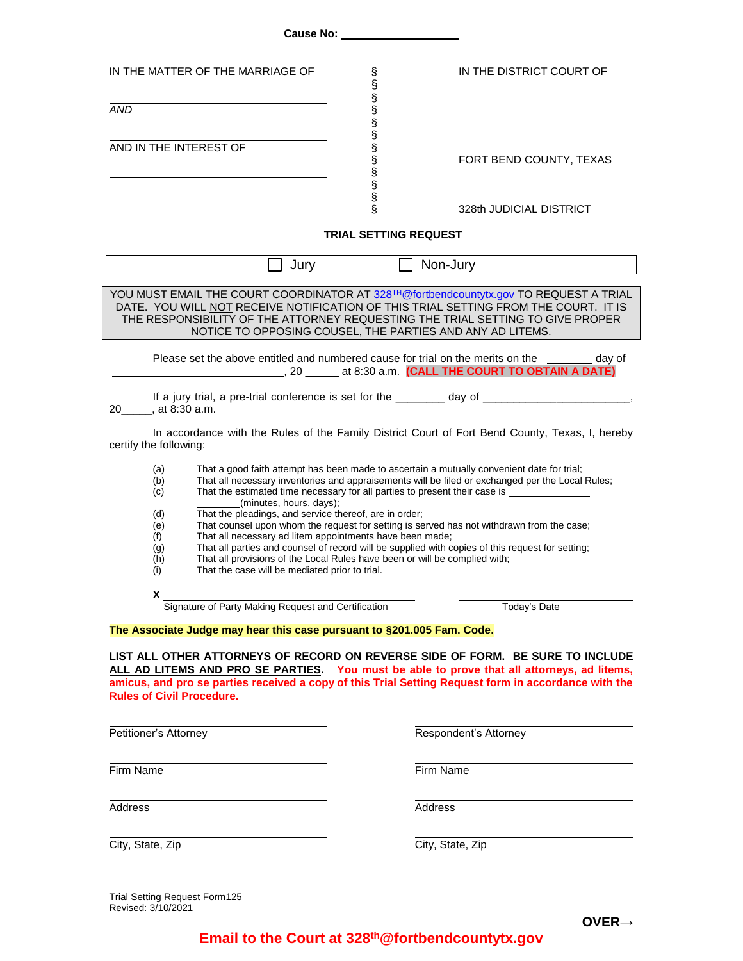| IN THE MATTER OF THE MARRIAGE OF                                                                                                                                                                                                                                                                                                                                                                                                                                                                                                                                                                                                                                                                                                                                                                                                         |                                | IN THE DISTRICT COURT OF |
|------------------------------------------------------------------------------------------------------------------------------------------------------------------------------------------------------------------------------------------------------------------------------------------------------------------------------------------------------------------------------------------------------------------------------------------------------------------------------------------------------------------------------------------------------------------------------------------------------------------------------------------------------------------------------------------------------------------------------------------------------------------------------------------------------------------------------------------|--------------------------------|--------------------------|
| <b>AND</b>                                                                                                                                                                                                                                                                                                                                                                                                                                                                                                                                                                                                                                                                                                                                                                                                                               |                                |                          |
| AND IN THE INTEREST OF                                                                                                                                                                                                                                                                                                                                                                                                                                                                                                                                                                                                                                                                                                                                                                                                                   | တယ္ တာ တာ တာ တာ တာ တာ တာ တာ တာ | FORT BEND COUNTY, TEXAS  |
|                                                                                                                                                                                                                                                                                                                                                                                                                                                                                                                                                                                                                                                                                                                                                                                                                                          |                                | 328th JUDICIAL DISTRICT  |
| <b>TRIAL SETTING REQUEST</b>                                                                                                                                                                                                                                                                                                                                                                                                                                                                                                                                                                                                                                                                                                                                                                                                             |                                |                          |
|                                                                                                                                                                                                                                                                                                                                                                                                                                                                                                                                                                                                                                                                                                                                                                                                                                          | $\Box$ Jury<br>$\Box$ Non-Jury |                          |
| YOU MUST EMAIL THE COURT COORDINATOR AT 328TH@fortbendcountytx.gov TO REQUEST A TRIAL<br>DATE. YOU WILL NOT RECEIVE NOTIFICATION OF THIS TRIAL SETTING FROM THE COURT. IT IS<br>THE RESPONSIBILITY OF THE ATTORNEY REQUESTING THE TRIAL SETTING TO GIVE PROPER<br>NOTICE TO OPPOSING COUSEL, THE PARTIES AND ANY AD LITEMS.                                                                                                                                                                                                                                                                                                                                                                                                                                                                                                              |                                |                          |
| Please set the above entitled and numbered cause for trial on the merits on the ________ day of                                                                                                                                                                                                                                                                                                                                                                                                                                                                                                                                                                                                                                                                                                                                          |                                |                          |
| If a jury trial, a pre-trial conference is set for the _______ day of __________________________,<br>20______, at 8:30 a.m.                                                                                                                                                                                                                                                                                                                                                                                                                                                                                                                                                                                                                                                                                                              |                                |                          |
| In accordance with the Rules of the Family District Court of Fort Bend County, Texas, I, hereby<br>certify the following:                                                                                                                                                                                                                                                                                                                                                                                                                                                                                                                                                                                                                                                                                                                |                                |                          |
| That a good faith attempt has been made to ascertain a mutually convenient date for trial;<br>(a)<br>That all necessary inventories and appraisements will be filed or exchanged per the Local Rules;<br>(b)<br>That the estimated time necessary for all parties to present their case is __________<br>(c)<br>(minutes, hours, days);<br>That the pleadings, and service thereof, are in order;<br>(d)<br>That counsel upon whom the request for setting is served has not withdrawn from the case;<br>(e)<br>That all necessary ad litem appointments have been made;<br>(f)<br>That all parties and counsel of record will be supplied with copies of this request for setting;<br>(g)<br>That all provisions of the Local Rules have been or will be complied with;<br>(h)<br>That the case will be mediated prior to trial.<br>(i) |                                |                          |
| X.<br>Signature of Party Making Request and Certification                                                                                                                                                                                                                                                                                                                                                                                                                                                                                                                                                                                                                                                                                                                                                                                |                                | Today's Date             |
| The Associate Judge may hear this case pursuant to §201.005 Fam. Code.<br>LIST ALL OTHER ATTORNEYS OF RECORD ON REVERSE SIDE OF FORM. BE SURE TO INCLUDE<br>ALL AD LITEMS AND PRO SE PARTIES. You must be able to prove that all attorneys, ad litems,<br>amicus, and pro se parties received a copy of this Trial Setting Request form in accordance with the<br><b>Rules of Civil Procedure.</b>                                                                                                                                                                                                                                                                                                                                                                                                                                       |                                |                          |
| Petitioner's Attorney                                                                                                                                                                                                                                                                                                                                                                                                                                                                                                                                                                                                                                                                                                                                                                                                                    |                                | Respondent's Attorney    |
| Firm Name                                                                                                                                                                                                                                                                                                                                                                                                                                                                                                                                                                                                                                                                                                                                                                                                                                | Firm Name                      |                          |
| Address                                                                                                                                                                                                                                                                                                                                                                                                                                                                                                                                                                                                                                                                                                                                                                                                                                  | Address                        |                          |
| City, State, Zip                                                                                                                                                                                                                                                                                                                                                                                                                                                                                                                                                                                                                                                                                                                                                                                                                         | City, State, Zip               |                          |

Trial Setting Request Form125 Revised: 3/10/2021

## **Email to the Court at 328th@fortbendcountytx.gov**